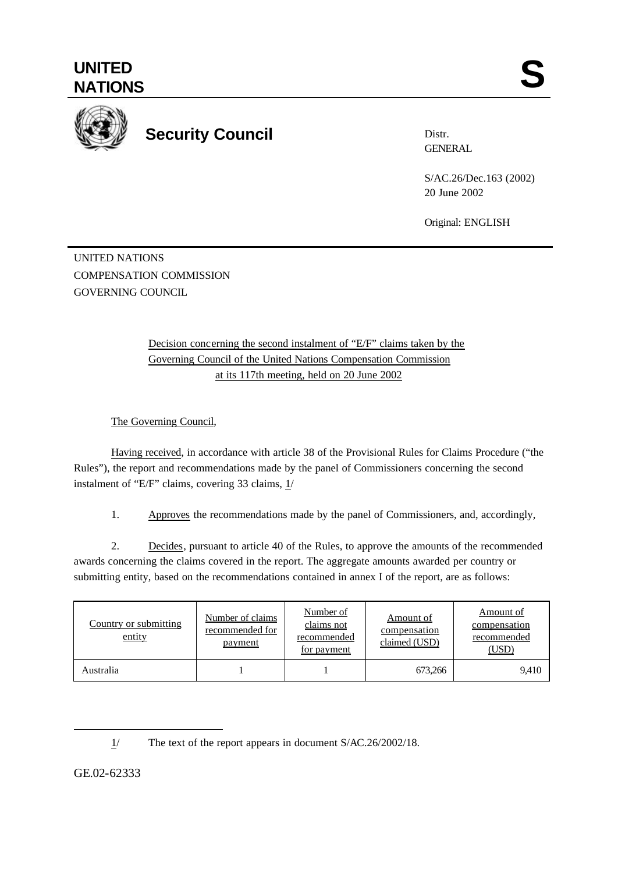

## **Security Council**

Distr. **GENERAL** 

S/AC.26/Dec.163 (2002) 20 June 2002

Original: ENGLISH

UNITED NATIONS COMPENSATION COMMISSION GOVERNING COUNCIL

> Decision concerning the second instalment of "E/F" claims taken by the Governing Council of the United Nations Compensation Commission at its 117th meeting, held on 20 June 2002

The Governing Council,

Having received, in accordance with article 38 of the Provisional Rules for Claims Procedure ("the Rules"), the report and recommendations made by the panel of Commissioners concerning the second instalment of "E/F" claims, covering 33 claims, 1/

1. Approves the recommendations made by the panel of Commissioners, and, accordingly,

2. Decides, pursuant to article 40 of the Rules, to approve the amounts of the recommended awards concerning the claims covered in the report. The aggregate amounts awarded per country or submitting entity, based on the recommendations contained in annex I of the report, are as follows:

| Country or submitting<br>entity | Number of claims<br>recommended for<br>payment | Number of<br>claims not<br>recommended<br>for payment | Amount of<br>compensation<br>claimed (USD) | Amount of<br>compensation<br>recommended<br>(USD) |
|---------------------------------|------------------------------------------------|-------------------------------------------------------|--------------------------------------------|---------------------------------------------------|
| Australia                       |                                                |                                                       | 673,266                                    | 9,410                                             |

l

GE.02-62333

<sup>1/</sup> The text of the report appears in document S/AC.26/2002/18.